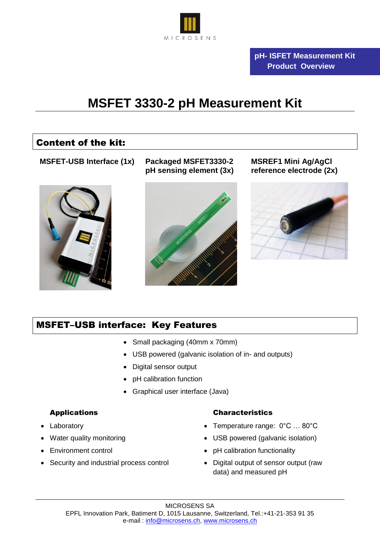

# **MSFET 3330-2 pH Measurement Kit**

## Content of the kit:

**MSFET-USB Interface (1x) Packaged MSFET3330-2** 



**pH sensing element (3x)**



**MSREF1 Mini Ag/AgCl reference electrode (2x)** 



## MSFET–USB interface: Key Features

- Small packaging (40mm x 70mm)
- USB powered (galvanic isolation of in- and outputs)
- Digital sensor output
- pH calibration function
- Graphical user interface (Java)

### Applications

- Laboratory
- Water quality monitoring
- Environment control
- Security and industrial process control

### Characteristics

- Temperature range: 0°C … 80°C
- USB powered (galvanic isolation)
- pH calibration functionality
- Digital output of sensor output (raw data) and measured pH